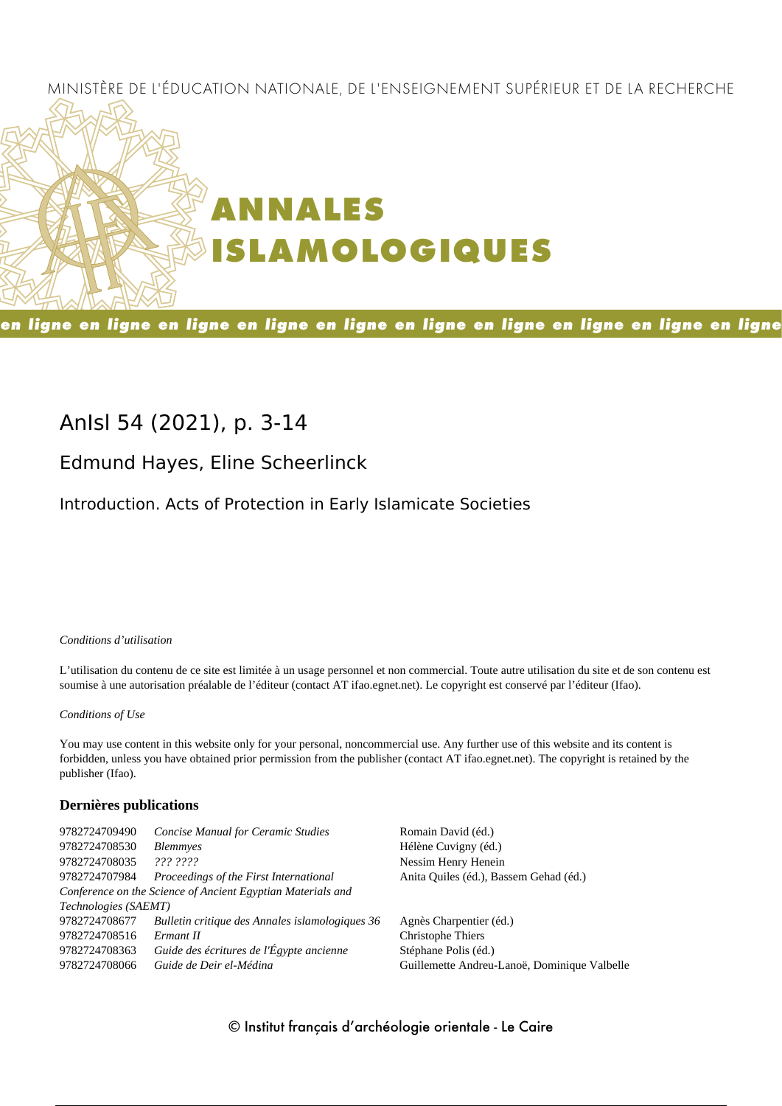### MINISTÈRE DE L'ÉDUCATION NATIONALE, DE L'ENSEIGNEMENT SUPÉRIEUR ET DE LA RECHERCHE



en ligne en ligne en ligne en ligne en ligne en ligne en ligne en ligne en ligne en ligne

# **AnIsl 54 (2021), p. 3-14**

# **Edmund Hayes, Eline Scheerlinck**

Introduction. Acts of Protection in Early Islamicate Societies

*Conditions d'utilisation*

L'utilisation du contenu de ce site est limitée à un usage personnel et non commercial. Toute autre utilisation du site et de son contenu est soumise à une autorisation préalable de l'éditeur (contact AT ifao.egnet.net). Le copyright est conservé par l'éditeur (Ifao).

*Conditions of Use*

You may use content in this website only for your personal, noncommercial use. Any further use of this website and its content is forbidden, unless you have obtained prior permission from the publisher (contact AT ifao.egnet.net). The copyright is retained by the publisher (Ifao).

#### **Dernières publications**

| 9782724709490        | <b>Concise Manual for Ceramic Studies</b>                   | Romain David (éd.)                           |
|----------------------|-------------------------------------------------------------|----------------------------------------------|
| 9782724708530        | <b>Blemmyes</b>                                             | Hélène Cuvigny (éd.)                         |
| 9782724708035        | 222.2222                                                    | Nessim Henry Henein                          |
| 9782724707984        | Proceedings of the First International                      | Anita Quiles (éd.), Bassem Gehad (éd.)       |
|                      | Conference on the Science of Ancient Egyptian Materials and |                                              |
| Technologies (SAEMT) |                                                             |                                              |
| 9782724708677        | Bulletin critique des Annales islamologiques 36             | Agnès Charpentier (éd.)                      |
| 9782724708516        | Ermant II                                                   | Christophe Thiers                            |
| 9782724708363        | Guide des écritures de l'Égypte ancienne                    | Stéphane Polis (éd.)                         |
| 9782724708066        | Guide de Deir el-Médina                                     | Guillemette Andreu-Lanoë, Dominique Valbelle |
|                      |                                                             |                                              |

© Institut français d'archéologie orientale - Le Caire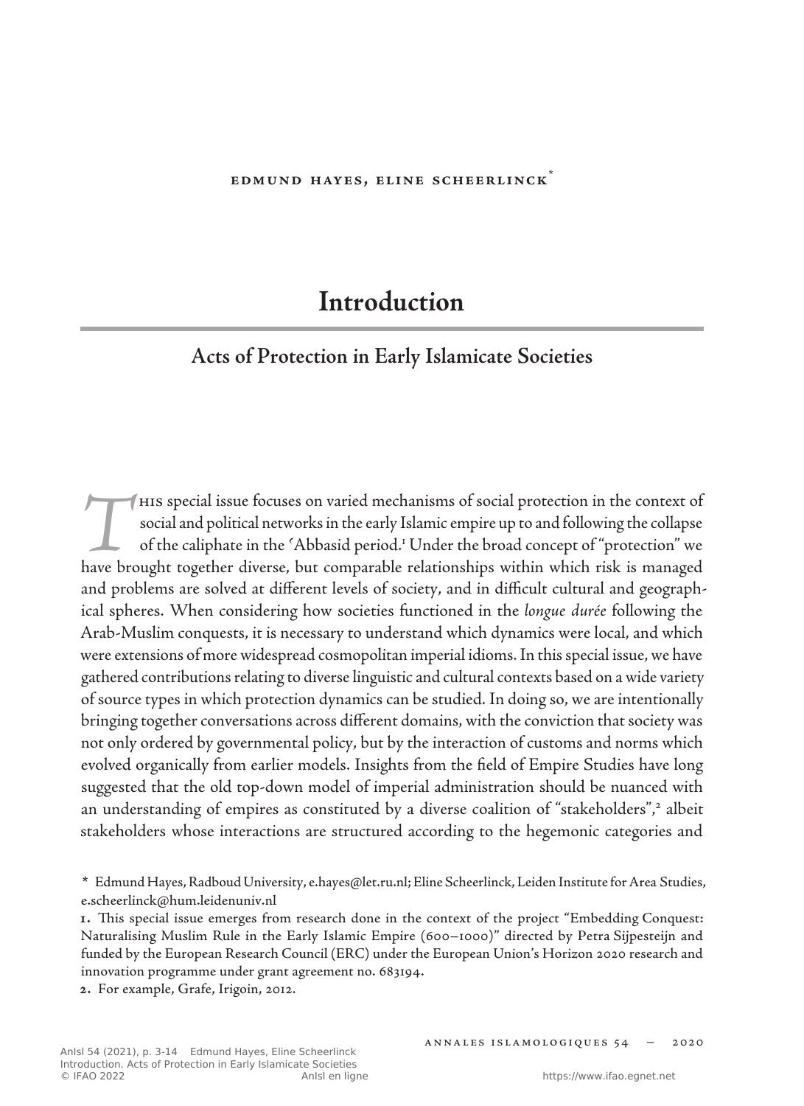#### **Edmund Hayes, Eline Scheerlinck**\*

# **Introduction**

## **Acts of Protection in Early Islamicate Societies**

This special issue focuses on varied mechanisms of social protection in the context of social and political networks in the early Islamic empire up to and following the collapse of the caliphate in the 'Abbasid period.<sup>1</sup> social and political networks in the early Islamic empire up to and following the collapse of the caliphate in the ʿAbbasid period.<sup>1</sup> Under the broad concept of "protection" we have brought together diverse, but comparable relationships within which risk is managed and problems are solved at different levels of society, and in difficult cultural and geographical spheres. When considering how societies functioned in the *longue durée* following the Arab‑Muslim conquests, it is necessary to understand which dynamics were local, and which were extensions of more widespread cosmopolitan imperial idioms. In this special issue, we have gathered contributions relating to diverse linguistic and cultural contexts based on a wide variety of source types in which protection dynamics can be studied. In doing so, we are intentionally bringing together conversations across different domains, with the conviction that society was not only ordered by governmental policy, but by the interaction of customs and norms which evolved organically from earlier models. Insights from the field of Empire Studies have long suggested that the old top-down model of imperial administration should be nuanced with an understanding of empires as constituted by a diverse coalition of "stakeholders",<sup>2</sup> albeit stakeholders whose interactions are structured according to the hegemonic categories and

**<sup>\*</sup>** Edmund Hayes, Radboud University, e.hayes@let.ru.nl; Eline Scheerlinck, Leiden Institute for Area Studies, e.scheerlinck@hum.leidenuniv.nl

**<sup>1</sup>.** This special issue emerges from research done in the context of the project "Embedding Conquest: Naturalising Muslim Rule in the Early Islamic Empire (600–1000)" directed by Petra Sijpesteijn and funded by the European Research Council (ERC) under the European Union's Horizon 2020 research and innovation programme under grant agreement no. 683194.

**<sup>2</sup>.** For example, Grafe, Irigoin, 2012.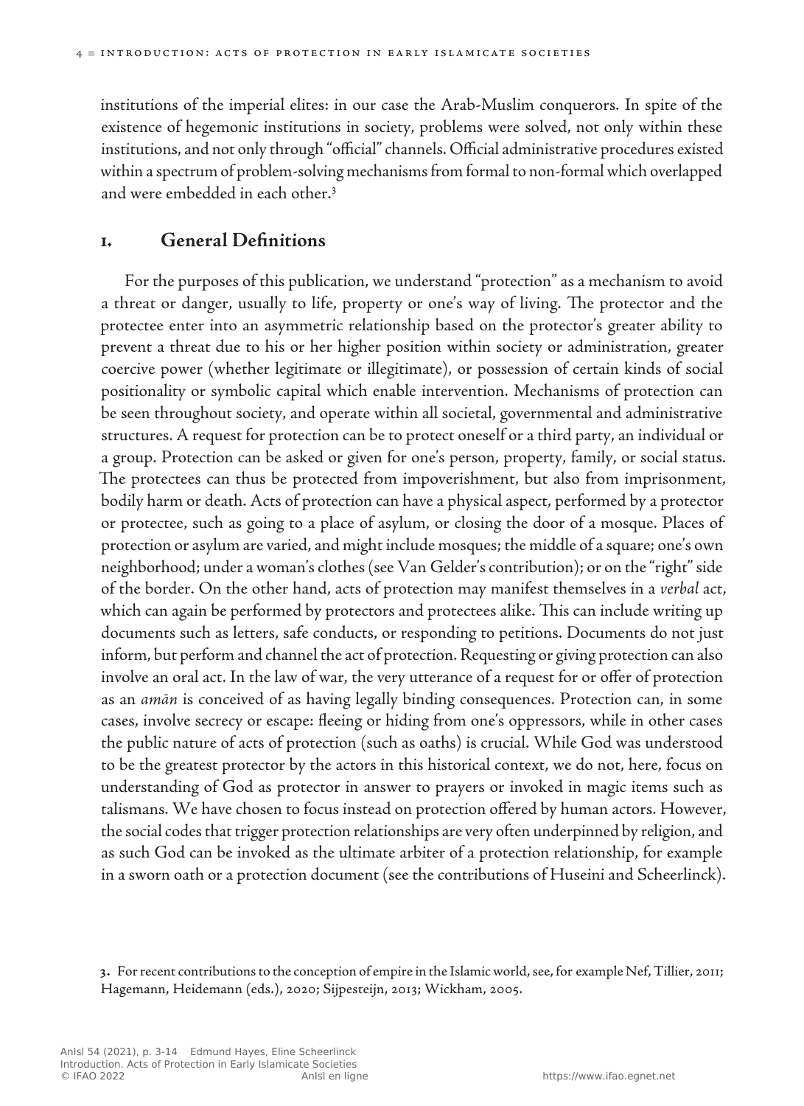institutions of the imperial elites: in our case the Arab‑Muslim conquerors. In spite of the existence of hegemonic institutions in society, problems were solved, not only within these institutions, and not only through "official" channels. Official administrative procedures existed within a spectrum of problem-solving mechanisms from formal to non-formal which overlapped and were embedded in each other.3

### **1. General Definitions**

For the purposes of this publication, we understand "protection" as a mechanism to avoid a threat or danger, usually to life, property or one's way of living. The protector and the protectee enter into an asymmetric relationship based on the protector's greater ability to prevent a threat due to his or her higher position within society or administration, greater coercive power (whether legitimate or illegitimate), or possession of certain kinds of social positionality or symbolic capital which enable intervention. Mechanisms of protection can be seen throughout society, and operate within all societal, governmental and administrative structures. A request for protection can be to protect oneself or a third party, an individual or a group. Protection can be asked or given for one's person, property, family, or social status. The protectees can thus be protected from impoverishment, but also from imprisonment, bodily harm or death. Acts of protection can have a physical aspect, performed by a protector or protectee, such as going to a place of asylum, or closing the door of a mosque. Places of protection or asylum are varied, and might include mosques; the middle of a square; one's own neighborhood; under a woman's clothes (see Van Gelder's contribution); or on the "right" side of the border. On the other hand, acts of protection may manifest themselves in a *verbal* act, which can again be performed by protectors and protectees alike. This can include writing up documents such as letters, safe conducts, or responding to petitions. Documents do not just inform, but perform and channel the act of protection. Requesting or giving protection can also involve an oral act. In the law of war, the very utterance of a request for or offer of protection as an *amān* is conceived of as having legally binding consequences. Protection can, in some cases, involve secrecy or escape: fleeing or hiding from one's oppressors, while in other cases the public nature of acts of protection (such as oaths) is crucial. While God was understood to be the greatest protector by the actors in this historical context, we do not, here, focus on understanding of God as protector in answer to prayers or invoked in magic items such as talismans. We have chosen to focus instead on protection offered by human actors. However, the social codes that trigger protection relationships are very often underpinned by religion, and as such God can be invoked as the ultimate arbiter of a protection relationship, for example in a sworn oath or a protection document (see the contributions of Huseini and Scheerlinck).

**<sup>3</sup>.** Forrecent contributionsto the conception of empire in the Islamic world,see,for example Nef, Tillier, 2011; Hagemann, Heidemann (eds.), 2020; Sijpesteijn, 2013; Wickham, 2005.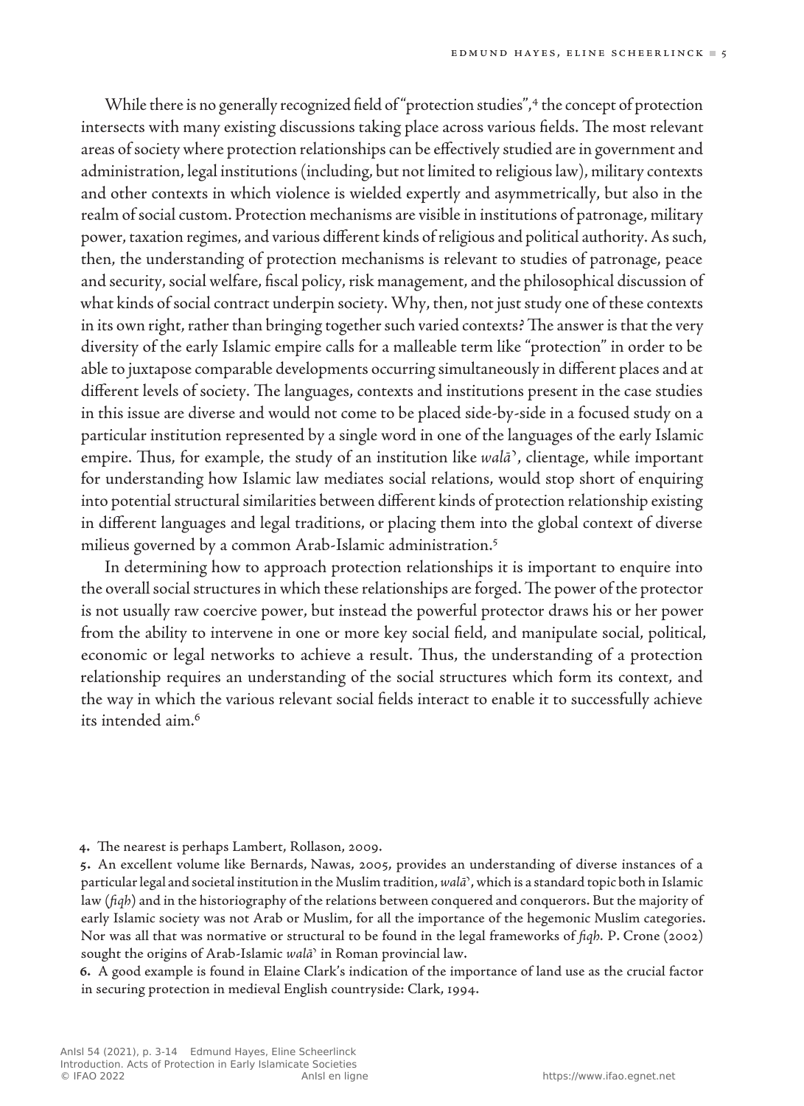While there is no generally recognized field of "protection studies",<sup>4</sup> the concept of protection intersects with many existing discussions taking place across various fields. The most relevant areas of society where protection relationships can be effectively studied are in government and administration, legal institutions (including, but not limited to religious law), military contexts and other contexts in which violence is wielded expertly and asymmetrically, but also in the realm of social custom. Protection mechanisms are visible in institutions of patronage, military power, taxation regimes, and various different kinds of religious and political authority. As such, then, the understanding of protection mechanisms is relevant to studies of patronage, peace and security, social welfare, fiscal policy, risk management, and the philosophical discussion of what kinds of social contract underpin society. Why, then, not just study one of these contexts in its own right, rather than bringing together such varied contexts? The answer is that the very diversity of the early Islamic empire calls for a malleable term like "protection" in order to be able to juxtapose comparable developments occurring simultaneously in different places and at different levels of society. The languages, contexts and institutions present in the case studies in this issue are diverse and would not come to be placed side-by-side in a focused study on a particular institution represented by a single word in one of the languages of the early Islamic empire. Thus, for example, the study of an institution like *walā*ʾ, clientage, while important for understanding how Islamic law mediates social relations, would stop short of enquiring into potential structural similarities between different kinds of protection relationship existing in different languages and legal traditions, or placing them into the global context of diverse milieus governed by a common Arab-Islamic administration.5

In determining how to approach protection relationships it is important to enquire into the overall social structures in which these relationships are forged. The power of the protector is not usually raw coercive power, but instead the powerful protector draws his or her power from the ability to intervene in one or more key social field, and manipulate social, political, economic or legal networks to achieve a result. Thus, the understanding of a protection relationship requires an understanding of the social structures which form its context, and the way in which the various relevant social fields interact to enable it to successfully achieve its intended aim.<sup>6</sup>

**6.** A good example is found in Elaine Clark's indication of the importance of land use as the crucial factor in securing protection in medieval English countryside: Clark, 1994.

**<sup>4</sup>.** The nearest is perhaps Lambert, Rollason, 2009.

**<sup>5</sup>.** An excellent volume like Bernards, Nawas, 2005, provides an understanding of diverse instances of a particularlegal and societal institution in theMuslim tradition,*walāʾ*, which is a standard topic both in Islamic law (*fiqh*) and in the historiography of the relations between conquered and conquerors. But the majority of early Islamic society was not Arab or Muslim, for all the importance of the hegemonic Muslim categories. Nor was all that was normative or structural to be found in the legal frameworks of *fiqh.* P. Crone (2002) sought the origins of Arab‑Islamic *walāʾ* in Roman provincial law.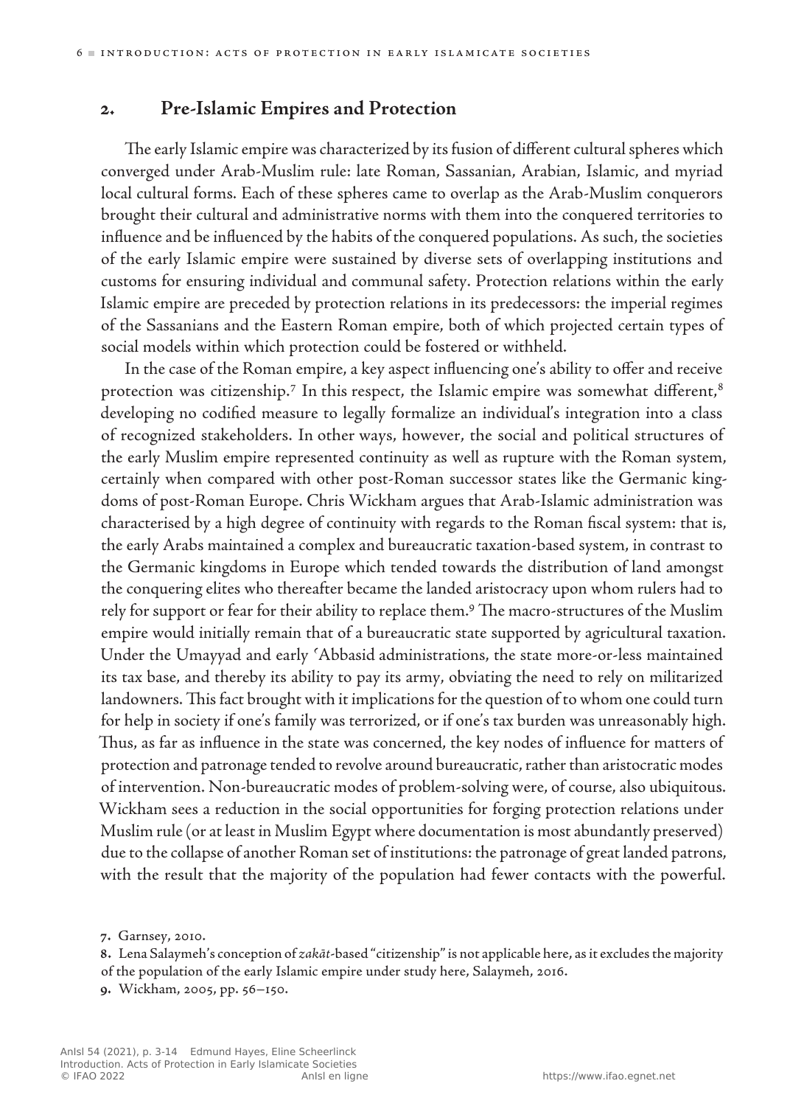### **2. Pre-Islamic Empires and Protection**

The early Islamic empire was characterized by its fusion of different cultural spheres which converged under Arab‑Muslim rule: late Roman, Sassanian, Arabian, Islamic, and myriad local cultural forms. Each of these spheres came to overlap as the Arab-Muslim conquerors brought their cultural and administrative norms with them into the conquered territories to influence and be influenced by the habits of the conquered populations. As such, the societies of the early Islamic empire were sustained by diverse sets of overlapping institutions and customs for ensuring individual and communal safety. Protection relations within the early Islamic empire are preceded by protection relations in its predecessors: the imperial regimes of the Sassanians and the Eastern Roman empire, both of which projected certain types of social models within which protection could be fostered or withheld.

In the case of the Roman empire, a key aspect influencing one's ability to offer and receive protection was citizenship.<sup>7</sup> In this respect, the Islamic empire was somewhat different,<sup>8</sup> developing no codified measure to legally formalize an individual's integration into a class of recognized stakeholders. In other ways, however, the social and political structures of the early Muslim empire represented continuity as well as rupture with the Roman system, certainly when compared with other post-Roman successor states like the Germanic kingdoms of post‑Roman Europe. Chris Wickham argues that Arab-Islamic administration was characterised by a high degree of continuity with regards to the Roman fiscal system: that is, the early Arabs maintained a complex and bureaucratic taxation‑based system, in contrast to the Germanic kingdoms in Europe which tended towards the distribution of land amongst the conquering elites who thereafter became the landed aristocracy upon whom rulers had to rely for support or fear for their ability to replace them.<sup>9</sup> The macro-structures of the Muslim empire would initially remain that of a bureaucratic state supported by agricultural taxation. Under the Umayyad and early ʿAbbasid administrations, the state more-or-less maintained its tax base, and thereby its ability to pay its army, obviating the need to rely on militarized landowners. This fact brought with it implications for the question of to whom one could turn for help in society if one's family was terrorized, or if one's tax burden was unreasonably high. Thus, as far as influence in the state was concerned, the key nodes of influence for matters of protection and patronage tended to revolve around bureaucratic, rather than aristocratic modes of intervention. Non‑bureaucratic modes of problem‑solving were, of course, also ubiquitous. Wickham sees a reduction in the social opportunities for forging protection relations under Muslim rule (or at least in Muslim Egypt where documentation is most abundantly preserved) due to the collapse of another Roman set of institutions: the patronage of great landed patrons, with the result that the majority of the population had fewer contacts with the powerful.

**8.** Lena Salaymeh's conception of *zakāt*‑based "citizenship"is not applicable here, asit excludesthe majority of the population of the early Islamic empire under study here, Salaymeh, 2016.

**<sup>7</sup>.** Garnsey, 2010.

**<sup>9</sup>.** Wickham, 2005, pp. 56–150.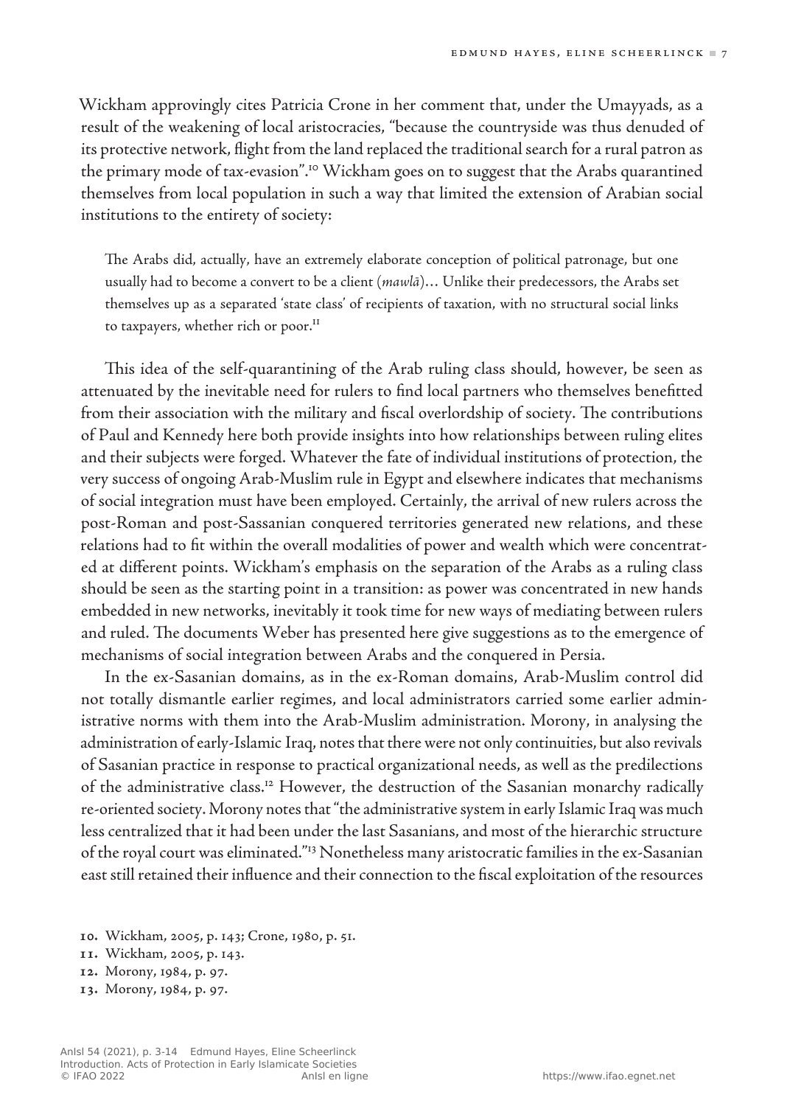Wickham approvingly cites Patricia Crone in her comment that, under the Umayyads, as a result of the weakening of local aristocracies, "because the countryside was thus denuded of its protective network, flight from the land replaced the traditional search for a rural patron as the primary mode of tax-evasion".<sup>10</sup> Wickham goes on to suggest that the Arabs quarantined themselves from local population in such a way that limited the extension of Arabian social institutions to the entirety of society:

The Arabs did, actually, have an extremely elaborate conception of political patronage, but one usually had to become a convert to be a client (*mawlā*)… Unlike their predecessors, the Arabs set themselves up as a separated 'state class' of recipients of taxation, with no structural social links to taxpayers, whether rich or poor.<sup>11</sup>

This idea of the self-quarantining of the Arab ruling class should, however, be seen as attenuated by the inevitable need for rulers to find local partners who themselves benefitted from their association with the military and fiscal overlordship of society. The contributions of Paul and Kennedy here both provide insights into how relationships between ruling elites and their subjects were forged. Whatever the fate of individual institutions of protection, the very success of ongoing Arab‑Muslim rule in Egypt and elsewhere indicates that mechanisms of social integration must have been employed. Certainly, the arrival of new rulers across the post‑Roman and post-Sassanian conquered territories generated new relations, and these relations had to fit within the overall modalities of power and wealth which were concentrated at different points. Wickham's emphasis on the separation of the Arabs as a ruling class should be seen as the starting point in a transition: as power was concentrated in new hands embedded in new networks, inevitably it took time for new ways of mediating between rulers and ruled. The documents Weber has presented here give suggestions as to the emergence of mechanisms of social integration between Arabs and the conquered in Persia.

In the ex‑Sasanian domains, as in the ex‑Roman domains, Arab‑Muslim control did not totally dismantle earlier regimes, and local administrators carried some earlier administrative norms with them into the Arab-Muslim administration. Morony, in analysing the administration of early‑Islamic Iraq, notes that there were not only continuities, but also revivals of Sasanian practice in response to practical organizational needs, as well as the predilections of the administrative class.12 However, the destruction of the Sasanian monarchy radically re‑oriented society. Morony notes that "the administrative system in early Islamic Iraq was much less centralized that it had been under the last Sasanians, and most of the hierarchic structure of the royal court was eliminated."13 Nonetheless many aristocratic families in the ex‑Sasanian east still retained their influence and their connection to the fiscal exploitation of the resources

- **10.** Wickham, 2005, p. 143; Crone, 1980, p. 51.
- **11.** Wickham, 2005, p. 143.
- **12.** Morony, 1984, p. 97.
- **13.** Morony, 1984, p. 97.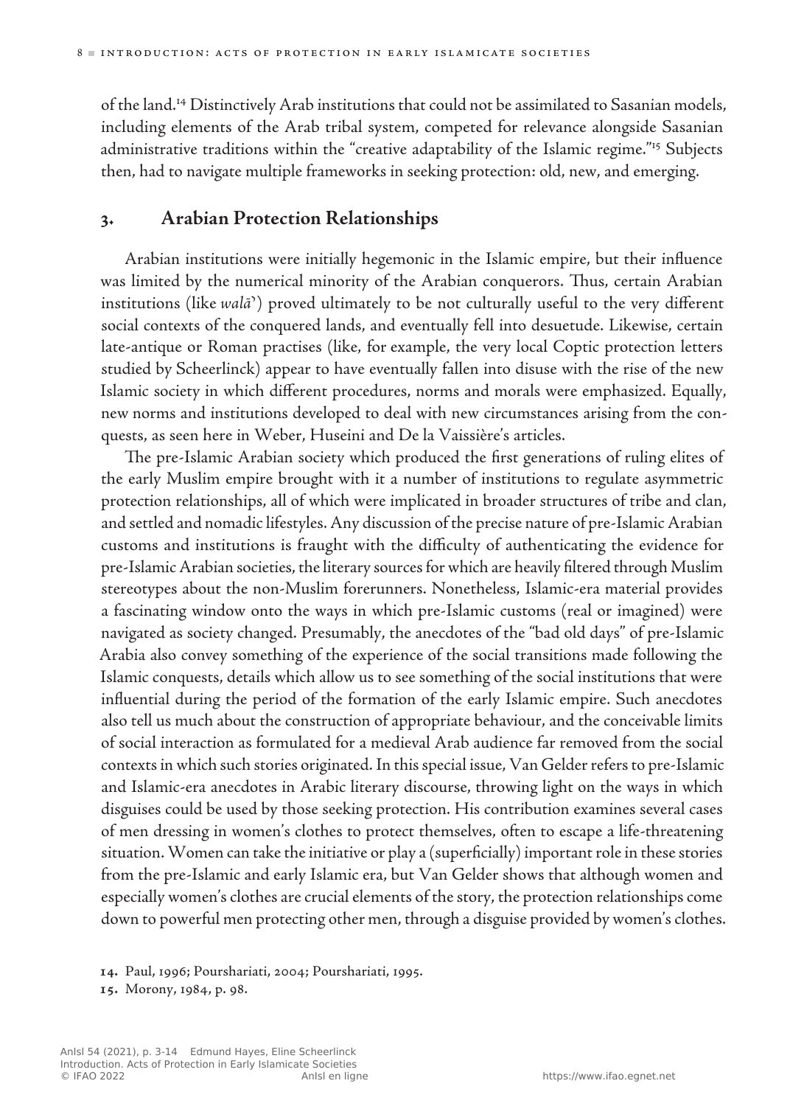of the land.14 Distinctively Arab institutions that could not be assimilated to Sasanian models, including elements of the Arab tribal system, competed for relevance alongside Sasanian administrative traditions within the "creative adaptability of the Islamic regime."<sup>15</sup> Subjects then, had to navigate multiple frameworks in seeking protection: old, new, and emerging.

### **3. Arabian Protection Relationships**

Arabian institutions were initially hegemonic in the Islamic empire, but their influence was limited by the numerical minority of the Arabian conquerors. Thus, certain Arabian institutions (like *walāʾ*) proved ultimately to be not culturally useful to the very different social contexts of the conquered lands, and eventually fell into desuetude. Likewise, certain late-antique or Roman practises (like, for example, the very local Coptic protection letters studied by Scheerlinck) appear to have eventually fallen into disuse with the rise of the new Islamic society in which different procedures, norms and morals were emphasized. Equally, new norms and institutions developed to deal with new circumstances arising from the conquests, as seen here in Weber, Huseini and De la Vaissière's articles.

The pre‑Islamic Arabian society which produced the first generations of ruling elites of the early Muslim empire brought with it a number of institutions to regulate asymmetric protection relationships, all of which were implicated in broader structures of tribe and clan, and settled and nomadic lifestyles. Any discussion of the precise nature of pre-Islamic Arabian customs and institutions is fraught with the difficulty of authenticating the evidence for pre‑Islamic Arabian societies, the literary sources for which are heavily filtered through Muslim stereotypes about the non-Muslim forerunners. Nonetheless, Islamic-era material provides a fascinating window onto the ways in which pre‑Islamic customs (real or imagined) were navigated as society changed. Presumably, the anecdotes of the "bad old days" of pre‑Islamic Arabia also convey something of the experience of the social transitions made following the Islamic conquests, details which allow us to see something of the social institutions that were influential during the period of the formation of the early Islamic empire. Such anecdotes also tell us much about the construction of appropriate behaviour, and the conceivable limits of social interaction as formulated for a medieval Arab audience far removed from the social contexts in which such stories originated. In this special issue, Van Gelder refers to pre‑Islamic and Islamic‑era anecdotes in Arabic literary discourse, throwing light on the ways in which disguises could be used by those seeking protection. His contribution examines several cases of men dressing in women's clothes to protect themselves, often to escape a life‑threatening situation. Women can take the initiative or play a (superficially) important role in these stories from the pre-Islamic and early Islamic era, but Van Gelder shows that although women and especially women's clothes are crucial elements of the story, the protection relationships come down to powerful men protecting other men, through a disguise provided by women's clothes.

**<sup>14</sup>.** Paul, 1996; Pourshariati, 2004; Pourshariati, 1995.

**<sup>15</sup>.** Morony, 1984, p. 98.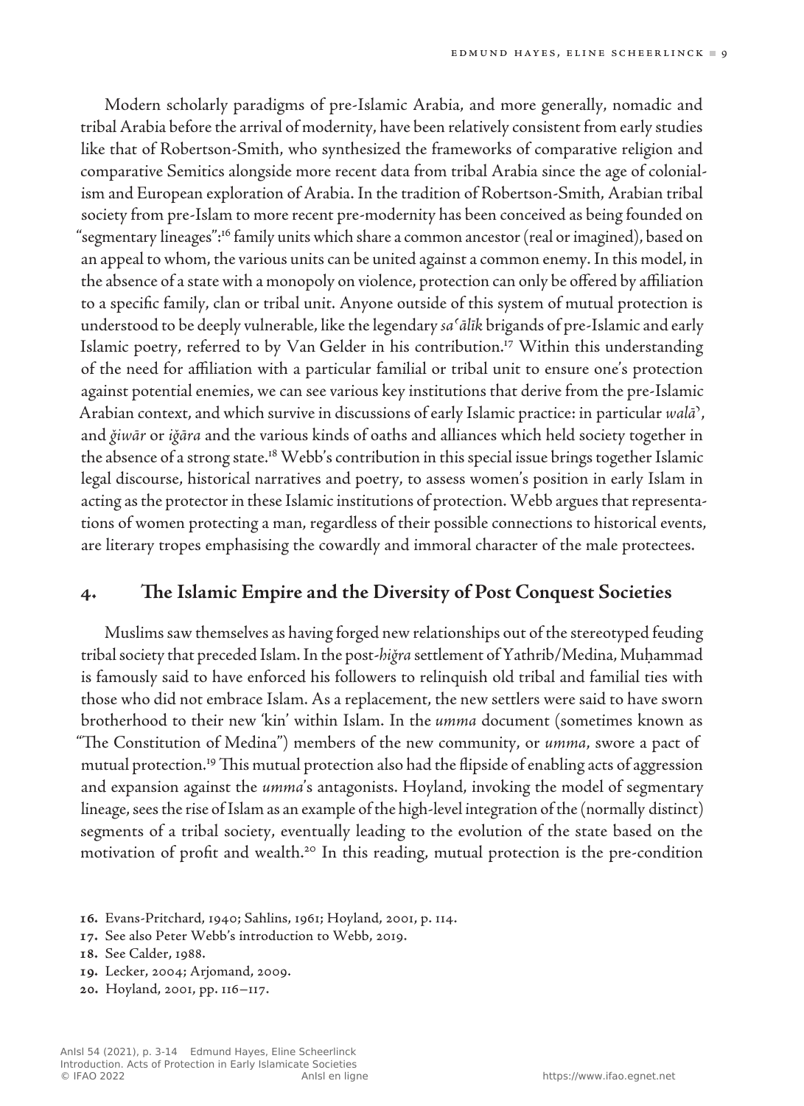Modern scholarly paradigms of pre-Islamic Arabia, and more generally, nomadic and tribal Arabia before the arrival of modernity, have been relatively consistent from early studies like that of Robertson-Smith, who synthesized the frameworks of comparative religion and comparative Semitics alongside more recent data from tribal Arabia since the age of colonialism and European exploration of Arabia. In the tradition of Robertson‑Smith, Arabian tribal society from pre-Islam to more recent pre-modernity has been conceived as being founded on "segmentary lineages":16 family units which share a common ancestor (real or imagined), based on an appeal to whom, the various units can be united against a common enemy. In this model, in the absence of a state with a monopoly on violence, protection can only be offered by affiliation to a specific family, clan or tribal unit. Anyone outside of this system of mutual protection is understood to be deeply vulnerable, like the legendary *sa*ʿ*ālīk* brigands of pre‑Islamic and early Islamic poetry, referred to by Van Gelder in his contribution.<sup>17</sup> Within this understanding of the need for affiliation with a particular familial or tribal unit to ensure one's protection against potential enemies, we can see various key institutions that derive from the pre‑Islamic Arabian context, and which survive in discussions of early Islamic practice: in particular *walāʾ*, and *ǧiwār* or *iǧāra* and the various kinds of oaths and alliances which held society together in the absence of a strong state.<sup>18</sup> Webb's contribution in this special issue brings together Islamic legal discourse, historical narratives and poetry, to assess women's position in early Islam in acting as the protector in these Islamic institutions of protection. Webb argues that representations of women protecting a man, regardless of their possible connections to historical events, are literary tropes emphasising the cowardly and immoral character of the male protectees.

### **4. The Islamic Empire and the Diversity of Post Conquest Societies**

Muslims saw themselves as having forged new relationships out of the stereotyped feuding tribal society that preceded Islam. In the post‑*hiǧra* settlement of Yathrib/Medina, Muḥammad is famously said to have enforced his followers to relinquish old tribal and familial ties with those who did not embrace Islam. As a replacement, the new settlers were said to have sworn brotherhood to their new 'kin' within Islam. In the *umma* document (sometimes known as "The Constitution of Medina") members of the new community, or *umma*, swore a pact of mutual protection.19 This mutual protection also had the flipside of enabling acts of aggression and expansion against the *umma*'s antagonists. Hoyland, invoking the model of segmentary lineage, sees the rise of Islam as an example of the high-level integration of the (normally distinct) segments of a tribal society, eventually leading to the evolution of the state based on the motivation of profit and wealth.20 In this reading, mutual protection is the pre-condition

**17.** See also Peter Webb's introduction to Webb, 2019.

- **19.** Lecker, 2004; Arjomand, 2009.
- **20.** Hoyland, 2001, pp. 116–117.

**<sup>16</sup>.** Evans‑Pritchard, 1940; Sahlins, 1961; Hoyland, 2001, p. 114.

**<sup>18</sup>.** See Calder, 1988.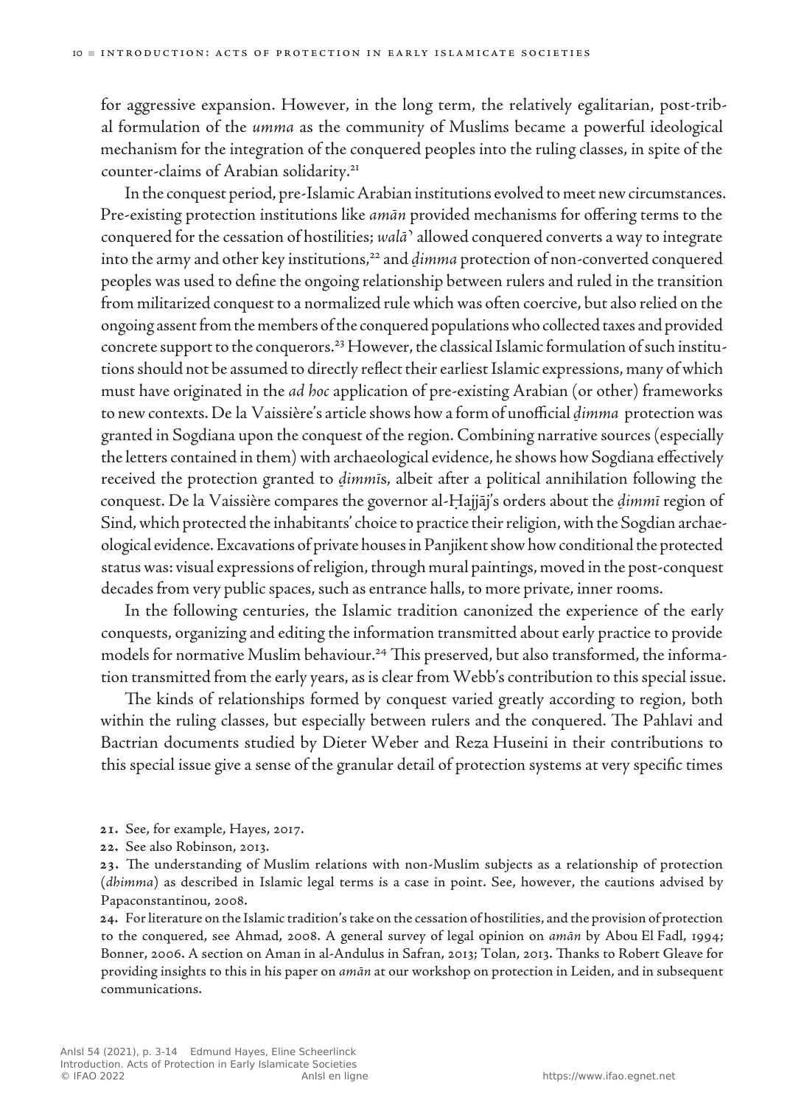for aggressive expansion. However, in the long term, the relatively egalitarian, post-tribal formulation of the *umma* as the community of Muslims became a powerful ideological mechanism for the integration of the conquered peoples into the ruling classes, in spite of the counter-claims of Arabian solidarity.21

In the conquest period, pre-Islamic Arabian institutions evolved to meet new circumstances. Pre-existing protection institutions like *amān* provided mechanisms for offering terms to the conquered for the cessation of hostilities; *walā*ʾ allowed conquered converts a way to integrate into the army and other key institutions,<sup>22</sup> and *dimma* protection of non-converted conquered peoples was used to define the ongoing relationship between rulers and ruled in the transition from militarized conquest to a normalized rule which was often coercive, but also relied on the ongoing assent from the members of the conquered populations who collected taxes and provided concrete support to the conquerors.<sup>23</sup> However, the classical Islamic formulation of such institutions should not be assumed to directly reflect their earliest Islamic expressions, many of which must have originated in the *ad hoc* application of pre-existing Arabian (or other) frameworks to new contexts. De la Vaissière's article shows how a form of unofficial *ḏimma* protection was granted in Sogdiana upon the conquest of the region. Combining narrative sources (especially the letters contained in them) with archaeological evidence, he shows how Sogdiana effectively received the protection granted to *ḏimmī*s, albeit after a political annihilation following the conquest. De la Vaissière compares the governor al‑Ḥajjāj's orders about the *ḏimmī* region of Sind, which protected the inhabitants' choice to practice their religion, with the Sogdian archaeological evidence. Excavations of private houses in Panjikent show how conditional the protected status was: visual expressions of religion, through mural paintings, moved in the post-conquest decades from very public spaces, such as entrance halls, to more private, inner rooms.

In the following centuries, the Islamic tradition canonized the experience of the early conquests, organizing and editing the information transmitted about early practice to provide models for normative Muslim behaviour.<sup>24</sup> This preserved, but also transformed, the information transmitted from the early years, as is clear from Webb's contribution to this special issue.

The kinds of relationships formed by conquest varied greatly according to region, both within the ruling classes, but especially between rulers and the conquered. The Pahlavi and Bactrian documents studied by Dieter Weber and Reza Huseini in their contributions to this special issue give a sense of the granular detail of protection systems at very specific times

- **21.** See, for example, Hayes, 2017.
- **22.** See also Robinson, 2013.

**23.** The understanding of Muslim relations with non-Muslim subjects as a relationship of protection (*dhimma*) as described in Islamic legal terms is a case in point. See, however, the cautions advised by Papaconstantinou, 2008.

**24.** Forliterature on the Islamic tradition'stake on the cessation of hostilities, and the provision of protection to the conquered, see Ahmad, 2008. A general survey of legal opinion on *amān* by Abou El Fadl, 1994; Bonner, 2006. A section on Aman in al‑Andulus in Safran, 2013; Tolan, 2013. Thanks to Robert Gleave for providing insights to this in his paper on *amān* at our workshop on protection in Leiden, and in subsequent communications.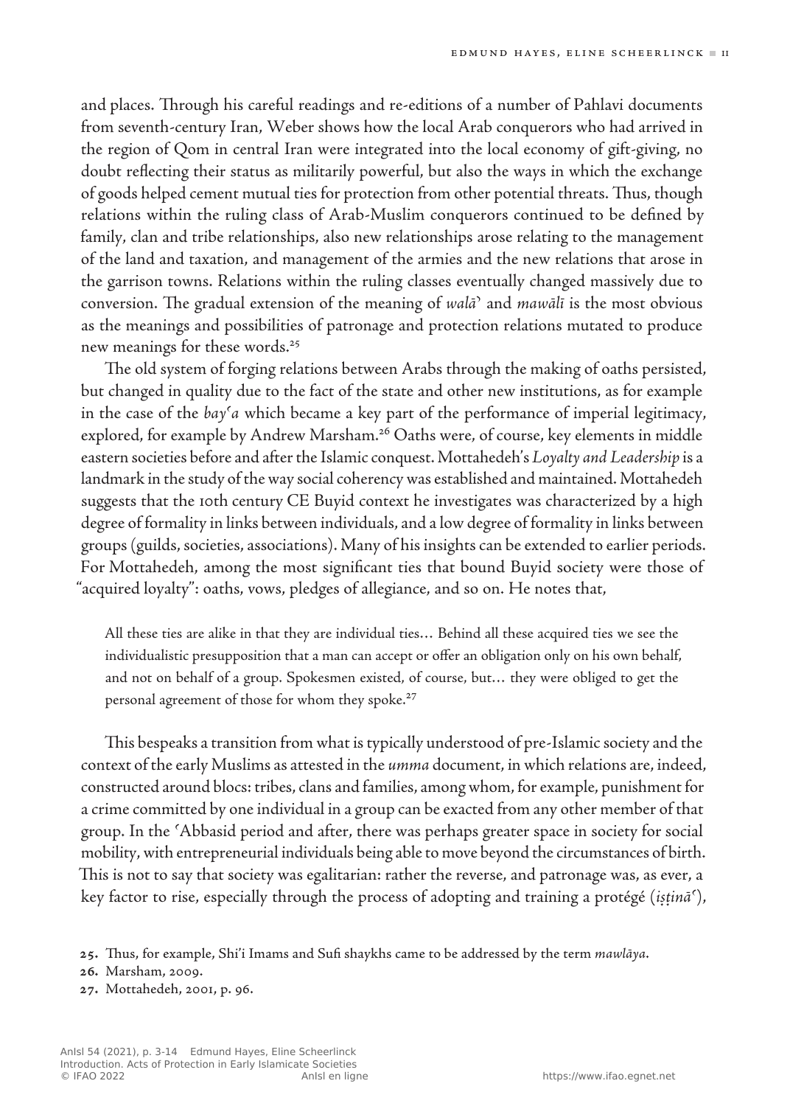and places. Through his careful readings and re‑editions of a number of Pahlavi documents from seventh-century Iran, Weber shows how the local Arab conquerors who had arrived in the region of Qom in central Iran were integrated into the local economy of gift‑giving, no doubt reflecting their status as militarily powerful, but also the ways in which the exchange of goods helped cement mutual ties for protection from other potential threats. Thus, though relations within the ruling class of Arab‑Muslim conquerors continued to be defined by family, clan and tribe relationships, also new relationships arose relating to the management of the land and taxation, and management of the armies and the new relations that arose in the garrison towns. Relations within the ruling classes eventually changed massively due to conversion. The gradual extension of the meaning of *walāʾ* and *mawālī* is the most obvious as the meanings and possibilities of patronage and protection relations mutated to produce new meanings for these words.<sup>25</sup>

The old system of forging relations between Arabs through the making of oaths persisted, but changed in quality due to the fact of the state and other new institutions, as for example in the case of the *bayʿa* which became a key part of the performance of imperial legitimacy, explored, for example by Andrew Marsham.<sup>26</sup> Oaths were, of course, key elements in middle eastern societies before and after the Islamic conquest. Mottahedeh's *Loyalty and Leadership* is a landmark in the study of the way social coherency was established and maintained. Mottahedeh suggests that the 10th century CE Buyid context he investigates was characterized by a high degree of formality in links between individuals, and a low degree of formality in links between groups (guilds, societies, associations). Many of his insights can be extended to earlier periods. For Mottahedeh, among the most significant ties that bound Buyid society were those of "acquired loyalty": oaths, vows, pledges of allegiance, and so on. He notes that,

All these ties are alike in that they are individual ties… Behind all these acquired ties we see the individualistic presupposition that a man can accept or offer an obligation only on his own behalf, and not on behalf of a group. Spokesmen existed, of course, but… they were obliged to get the personal agreement of those for whom they spoke.<sup>27</sup>

This bespeaks a transition from what is typically understood of pre‑Islamic society and the context of the early Muslims as attested in the *umma* document, in which relations are, indeed, constructed around blocs: tribes, clans and families, among whom, for example, punishment for a crime committed by one individual in a group can be exacted from any other member of that group. In the ʿAbbasid period and after, there was perhaps greater space in society for social mobility, with entrepreneurial individuals being able to move beyond the circumstances of birth. This is not to say that society was egalitarian: rather the reverse, and patronage was, as ever, a key factor to rise, especially through the process of adopting and training a protégé (*iṣṭināʿ*),

- **26.** Marsham, 2009.
- **27.** Mottahedeh, 2001, p. 96.

**<sup>25</sup>.** Thus, for example, Shi'i Imams and Sufi shaykhs came to be addressed by the term *mawlāya*.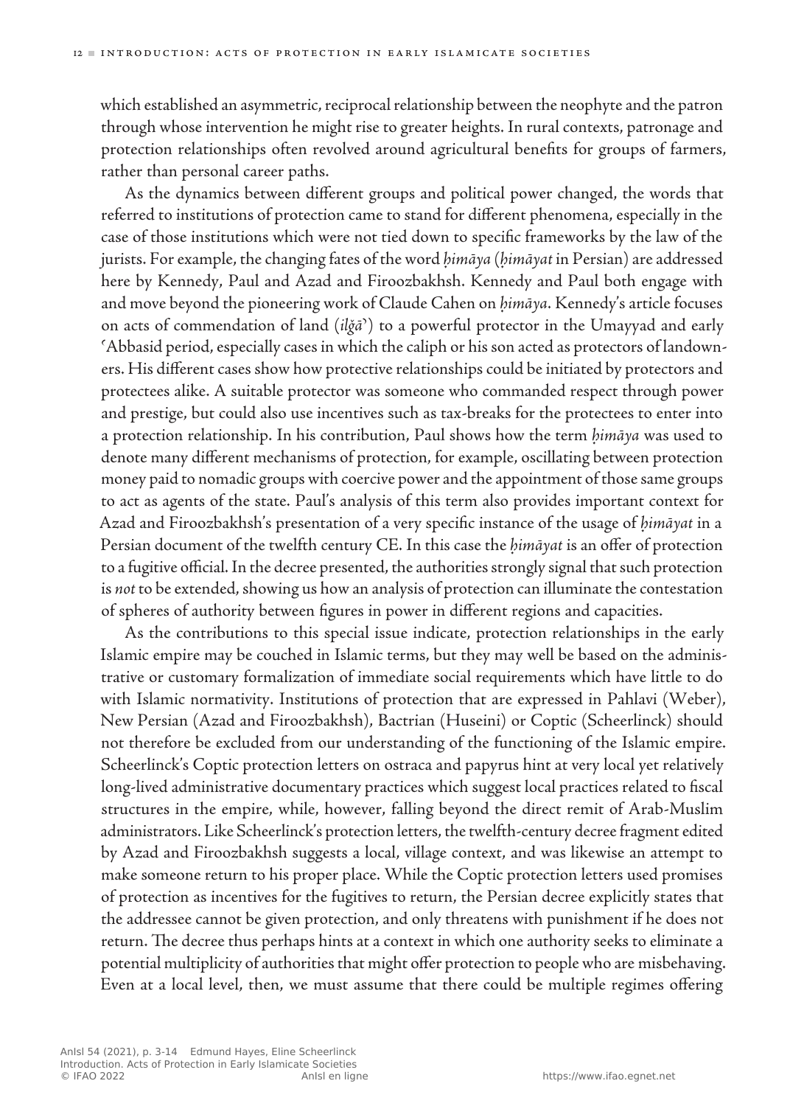which established an asymmetric, reciprocal relationship between the neophyte and the patron through whose intervention he might rise to greater heights. In rural contexts, patronage and protection relationships often revolved around agricultural benefits for groups of farmers, rather than personal career paths.

As the dynamics between different groups and political power changed, the words that referred to institutions of protection came to stand for different phenomena, especially in the case of those institutions which were not tied down to specific frameworks by the law of the jurists. For example, the changing fates of the word *ḥimāya* (*ḥimāyat* in Persian) are addressed here by Kennedy, Paul and Azad and Firoozbakhsh. Kennedy and Paul both engage with and move beyond the pioneering work of Claude Cahen on *ḥimāya*. Kennedy's article focuses on acts of commendation of land (*ilǧāʾ*) to a powerful protector in the Umayyad and early ʿAbbasid period, especially cases in which the caliph or his son acted as protectors of landowners. His different cases show how protective relationships could be initiated by protectors and protectees alike. A suitable protector was someone who commanded respect through power and prestige, but could also use incentives such as tax‑breaks for the protectees to enter into a protection relationship. In his contribution, Paul shows how the term *ḥimāya* was used to denote many different mechanisms of protection, for example, oscillating between protection money paid to nomadic groups with coercive power and the appointment of those same groups to act as agents of the state. Paul's analysis of this term also provides important context for Azad and Firoozbakhsh's presentation of a very specific instance of the usage of *ḥimāyat* in a Persian document of the twelfth century CE. In this case the *ḥimāyat* is an offer of protection to a fugitive official. In the decree presented, the authorities strongly signal that such protection is *not* to be extended, showing us how an analysis of protection can illuminate the contestation of spheres of authority between figures in power in different regions and capacities.

As the contributions to this special issue indicate, protection relationships in the early Islamic empire may be couched in Islamic terms, but they may well be based on the administrative or customary formalization of immediate social requirements which have little to do with Islamic normativity. Institutions of protection that are expressed in Pahlavi (Weber), New Persian (Azad and Firoozbakhsh), Bactrian (Huseini) or Coptic (Scheerlinck) should not therefore be excluded from our understanding of the functioning of the Islamic empire. Scheerlinck's Coptic protection letters on ostraca and papyrus hint at very local yet relatively long-lived administrative documentary practices which suggest local practices related to fiscal structures in the empire, while, however, falling beyond the direct remit of Arab‑Muslim administrators. Like Scheerlinck's protection letters, the twelfth-century decree fragment edited by Azad and Firoozbakhsh suggests a local, village context, and was likewise an attempt to make someone return to his proper place. While the Coptic protection letters used promises of protection as incentives for the fugitives to return, the Persian decree explicitly states that the addressee cannot be given protection, and only threatens with punishment if he does not return. The decree thus perhaps hints at a context in which one authority seeks to eliminate a potential multiplicity of authorities that might offer protection to people who are misbehaving. Even at a local level, then, we must assume that there could be multiple regimes offering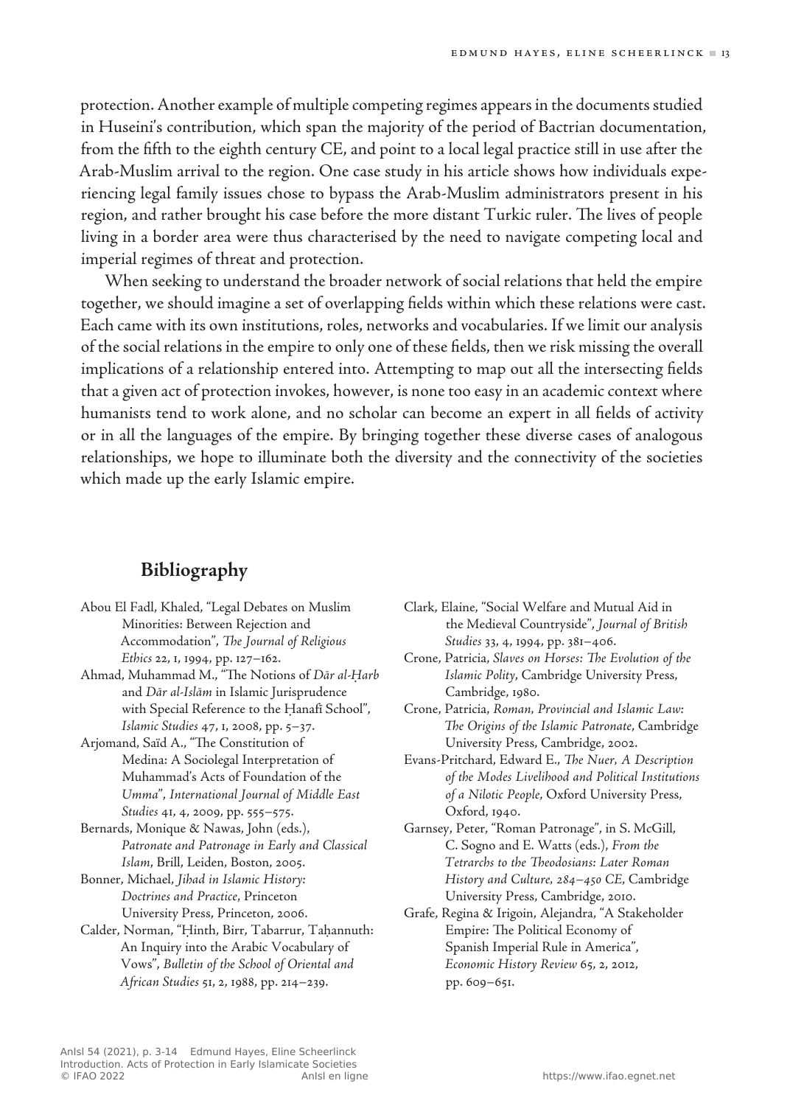protection. Another example of multiple competing regimes appears in the documents studied in Huseini's contribution, which span the majority of the period of Bactrian documentation, from the fifth to the eighth century CE, and point to a local legal practice still in use after the Arab‑Muslim arrival to the region. One case study in his article shows how individuals experiencing legal family issues chose to bypass the Arab‑Muslim administrators present in his region, and rather brought his case before the more distant Turkic ruler. The lives of people living in a border area were thus characterised by the need to navigate competing local and imperial regimes of threat and protection.

When seeking to understand the broader network of social relations that held the empire together, we should imagine a set of overlapping fields within which these relations were cast. Each came with its own institutions, roles, networks and vocabularies. If we limit our analysis of the social relations in the empire to only one of these fields, then we risk missing the overall implications of a relationship entered into. Attempting to map out all the intersecting fields that a given act of protection invokes, however, is none too easy in an academic context where humanists tend to work alone, and no scholar can become an expert in all fields of activity or in all the languages of the empire. By bringing together these diverse cases of analogous relationships, we hope to illuminate both the diversity and the connectivity of the societies which made up the early Islamic empire.

## **Bibliography**

- Abou El Fadl, Khaled, "Legal Debates on Muslim Minorities: Between Rejection and Accommodation", *The Journal of Religious Ethics* 22, 1, 1994, pp. 127–162.
- Ahmad, Muhammad M., "The Notions of *Dār al‑Ḥarb* and *Dār al‑Islām* in Islamic Jurisprudence with Special Reference to the Ḥanafī School", *Islamic Studies* 47, 1, 2008, pp. 5–37.
- Arjomand, Saïd A., "The Constitution of Medina: A Sociolegal Interpretation of Muhammad's Acts of Foundation of the *Umma*", *International Journal of Middle East Studies* 41, 4, 2009, pp. 555–575.
- Bernards, Monique & Nawas, John (eds.), *Patronate and Patronage in Early and Classical Islam*, Brill, Leiden, Boston, 2005.
- Bonner, Michael, *Jihad in Islamic History: Doctrines and Practice*, Princeton University Press, Princeton, 2006.
- Calder, Norman, "Ḥinth, Birr, Tabarrur, Taḥannuth: An Inquiry into the Arabic Vocabulary of Vows", *Bulletin of the School of Oriental and African Studies* 51, 2, 1988, pp. 214–239.
- Clark, Elaine, "Social Welfare and Mutual Aid in the Medieval Countryside", *Journal of British Studies* 33, 4, 1994, pp. 381–406.
- Crone, Patricia, *Slaves on Horses: The Evolution of the Islamic Polity*, Cambridge University Press, Cambridge, 1980.
- Crone, Patricia, *Roman, Provincial and Islamic Law: The Origins of the Islamic Patronate*, Cambridge University Press, Cambridge, 2002.
- Evans-Pritchard, Edward E., *The Nuer, A Description of the Modes Livelihood and Political Institutions of a Nilotic People*, Oxford University Press, Oxford, 1940.
- Garnsey, Peter, "Roman Patronage", in S. McGill, C. Sogno and E. Watts (eds.), *From the Tetrarchs to the Theodosians: Later Roman History and Culture, 284–450 CE*, Cambridge University Press, Cambridge, 2010.
- Grafe, Regina & Irigoin, Alejandra, "A Stakeholder Empire: The Political Economy of Spanish Imperial Rule in America", *Economic History Review* 65, 2, 2012, pp. 609–651.